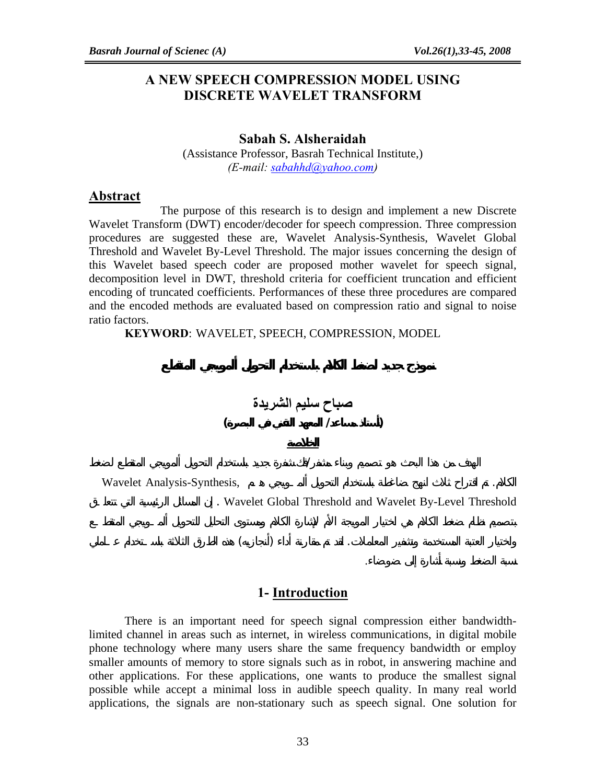# **A NEW SPEECH COMPRESSION MODEL USING DISCRETE WAVELET TRANSFORM**

### **Sabah S. Alsheraidah**

(Assistance Professor, Basrah Technical Institute,) *(E-mail: sabahhd@yahoo.com)* 

### **Abstract**

The purpose of this research is to design and implement a new Discrete Wavelet Transform (DWT) encoder/decoder for speech compression. Three compression procedures are suggested these are, Wavelet Analysis-Synthesis, Wavelet Global Threshold and Wavelet By-Level Threshold. The major issues concerning the design of this Wavelet based speech coder are proposed mother wavelet for speech signal, decomposition level in DWT, threshold criteria for coefficient truncation and efficient encoding of truncated coefficients. Performances of these three procedures are compared and the encoded methods are evaluated based on compression ratio and signal to noise ratio factors.

 **KEYWORD**: WAVELET, SPEECH, COMPRESSION, MODEL



Wavelet Analysis-Synthesis,

. Wavelet Global Threshold and Wavelet By-Level Threshold

نسبة الضغط ونسبة أشارة إلى ضوضاء.



### **1- Introduction**

There is an important need for speech signal compression either bandwidthlimited channel in areas such as internet, in wireless communications, in digital mobile phone technology where many users share the same frequency bandwidth or employ smaller amounts of memory to store signals such as in robot, in answering machine and other applications. For these applications, one wants to produce the smallest signal possible while accept a minimal loss in audible speech quality. In many real world applications, the signals are non-stationary such as speech signal. One solution for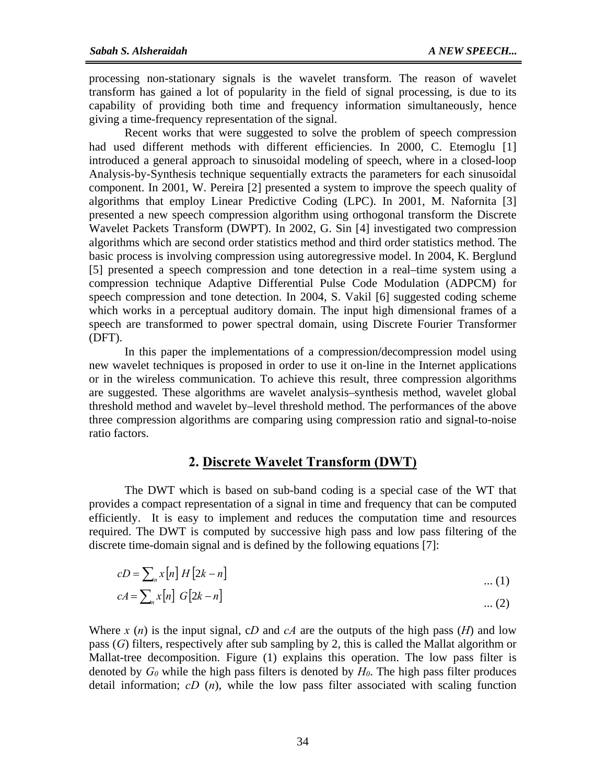processing non-stationary signals is the wavelet transform. The reason of wavelet transform has gained a lot of popularity in the field of signal processing, is due to its capability of providing both time and frequency information simultaneously, hence giving a time-frequency representation of the signal.

Recent works that were suggested to solve the problem of speech compression had used different methods with different efficiencies. In 2000, C. Etemoglu [1] introduced a general approach to sinusoidal modeling of speech, where in a closed-loop Analysis-by-Synthesis technique sequentially extracts the parameters for each sinusoidal component. In 2001, W. Pereira [2] presented a system to improve the speech quality of algorithms that employ Linear Predictive Coding (LPC). In 2001, M. Nafornita [3] presented a new speech compression algorithm using orthogonal transform the Discrete Wavelet Packets Transform (DWPT). In 2002, G. Sin [4] investigated two compression algorithms which are second order statistics method and third order statistics method. The basic process is involving compression using autoregressive model. In 2004, K. Berglund [5] presented a speech compression and tone detection in a real–time system using a compression technique Adaptive Differential Pulse Code Modulation (ADPCM) for speech compression and tone detection. In 2004, S. Vakil [6] suggested coding scheme which works in a perceptual auditory domain. The input high dimensional frames of a speech are transformed to power spectral domain, using Discrete Fourier Transformer (DFT).

In this paper the implementations of a compression**/**decompression model using new wavelet techniques is proposed in order to use it on-line in the Internet applications or in the wireless communication. To achieve this result, three compression algorithms are suggested. These algorithms are wavelet analysis–synthesis method, wavelet global threshold method and wavelet by–level threshold method. The performances of the above three compression algorithms are comparing using compression ratio and signal-to-noise ratio factors.

## **2. Discrete Wavelet Transform (DWT)**

The DWT which is based on sub-band coding is a special case of the WT that provides a compact representation of a signal in time and frequency that can be computed efficiently. It is easy to implement and reduces the computation time and resources required. The DWT is computed by successive high pass and low pass filtering of the discrete time-domain signal and is defined by the following equations [7]:

$$
cD = \sum_{n} x[n] H[2k - n]
$$
\n
$$
cA = \sum_{n} x[n] G[2k - n]
$$
\n
$$
\dots (1)
$$
\n
$$
(2)
$$

Where  $x(n)$  is the input signal, cD and cA are the outputs of the high pass  $(H)$  and low pass (*G*) filters, respectively after sub sampling by 2, this is called the Mallat algorithm or Mallat-tree decomposition. Figure (1) explains this operation. The low pass filter is denoted by  $G_0$  while the high pass filters is denoted by  $H_0$ . The high pass filter produces detail information; *cD* (*n*), while the low pass filter associated with scaling function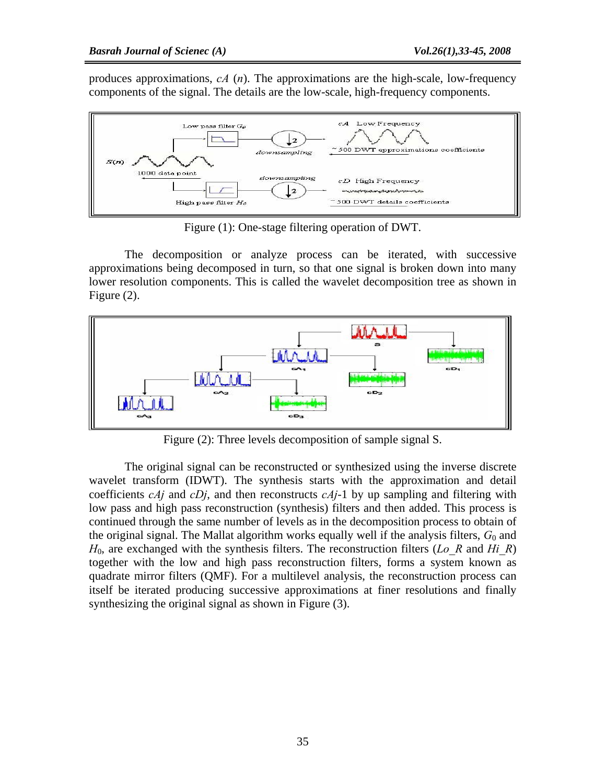produces approximations, *cA* (*n*). The approximations are the high-scale, low-frequency components of the signal. The details are the low-scale, high-frequency components.



Figure (1): One-stage filtering operation of DWT.

The decomposition or analyze process can be iterated, with successive approximations being decomposed in turn, so that one signal is broken down into many lower resolution components. This is called the wavelet decomposition tree as shown in Figure (2).



Figure (2): Three levels decomposition of sample signal S.

The original signal can be reconstructed or synthesized using the inverse discrete wavelet transform (IDWT). The synthesis starts with the approximation and detail coefficients *cAj* and *cDj*, and then reconstructs *cAj*-1 by up sampling and filtering with low pass and high pass reconstruction (synthesis) filters and then added. This process is continued through the same number of levels as in the decomposition process to obtain of the original signal. The Mallat algorithm works equally well if the analysis filters,  $G_0$  and *H*0, are exchanged with the synthesis filters. The reconstruction filters (*Lo\_R* and *Hi\_R*) together with the low and high pass reconstruction filters, forms a system known as quadrate mirror filters (QMF). For a multilevel analysis, the reconstruction process can itself be iterated producing successive approximations at finer resolutions and finally synthesizing the original signal as shown in Figure (3).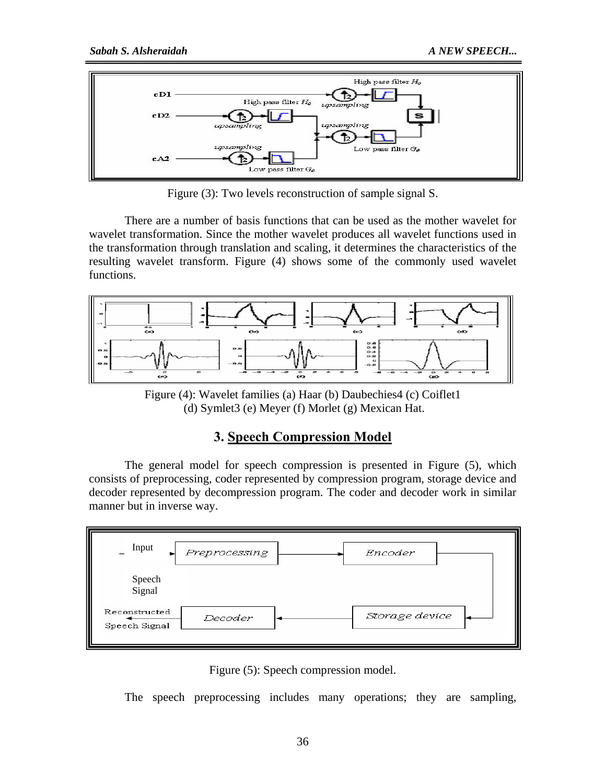

Figure (3): Two levels reconstruction of sample signal S.

There are a number of basis functions that can be used as the mother wavelet for wavelet transformation. Since the mother wavelet produces all wavelet functions used in the transformation through translation and scaling, it determines the characteristics of the resulting wavelet transform. Figure (4) shows some of the commonly used wavelet functions.



Figure (4): Wavelet families (a) Haar (b) Daubechies4 (c) Coiflet1 (d) Symlet3 (e) Meyer (f) Morlet (g) Mexican Hat.

# **3. Speech Compression Model**

The general model for speech compression is presented in Figure (5), which consists of preprocessing, coder represented by compression program, storage device and decoder represented by decompression program. The coder and decoder work in similar manner but in inverse way.

| Input                          | Preprocessing | Encoder        |  |
|--------------------------------|---------------|----------------|--|
| Speech<br>Signal               |               |                |  |
| Reconstructed<br>Speech Signal | Decoder       | Storage device |  |

Figure (5): Speech compression model.

The speech preprocessing includes many operations; they are sampling,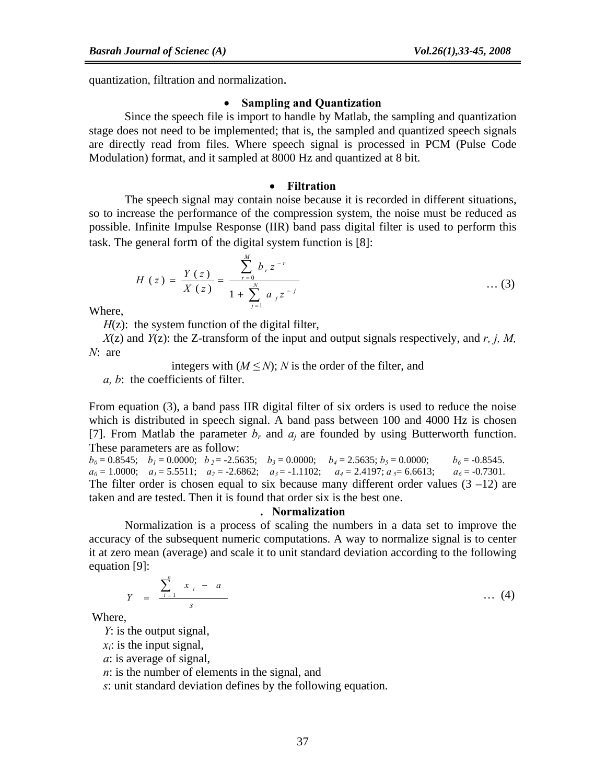quantization, filtration and normalization.

### • **Sampling and Quantization**

Since the speech file is import to handle by Matlab, the sampling and quantization stage does not need to be implemented; that is, the sampled and quantized speech signals are directly read from files. Where speech signal is processed in PCM (Pulse Code Modulation) format, and it sampled at 8000 Hz and quantized at 8 bit.

### • **Filtration**

The speech signal may contain noise because it is recorded in different situations, so to increase the performance of the compression system, the noise must be reduced as possible. Infinite Impulse Response (IIR) band pass digital filter is used to perform this task. The general form of the digital system function is [8]:

$$
H(z) = \frac{Y(z)}{X(z)} = \frac{\sum_{r=0}^{M} b_r z^{-r}}{1 + \sum_{j=1}^{N} a_j z^{-j}} \qquad \qquad \dots (3)
$$

Where,

*H*(z): the system function of the digital filter,

*X*(z) and *Y*(z): the Z-transform of the input and output signals respectively, and *r, j, M, N*: are

integers with  $(M \leq N)$ ; *N* is the order of the filter, and

*a, b*: the coefficients of filter.

From equation (3), a band pass IIR digital filter of six orders is used to reduce the noise which is distributed in speech signal. A band pass between 100 and 4000 Hz is chosen [7]. From Matlab the parameter  $b_r$  and  $a_i$  are founded by using Butterworth function. These parameters are as follow:

 $b_0 = 0.8545$ ;  $b_1 = 0.0000$ ;  $b_2 = -2.5635$ ;  $b_3 = 0.0000$ ;  $b_4 = 2.5635$ ;  $b_5 = 0.0000$ ;  $b_6 = -0.8545$ .  $a_0 = 1.0000; \quad a_1 = 5.5511; \quad a_2 = -2.6862; \quad a_3 = -1.1102; \quad a_4 = 2.4197; \quad a_5 = 6.6613; \quad a_6 = -0.7301.$ The filter order is chosen equal to six because many different order values  $(3 -12)$  are taken and are tested. Then it is found that order six is the best one.

### **. Normalization**

Normalization is a process of scaling the numbers in a data set to improve the accuracy of the subsequent numeric computations. A way to normalize signal is to center it at zero mean (average) and scale it to unit standard deviation according to the following equation [9]:

$$
Y = \frac{\sum_{i=1}^{n} x_i - a}{s} \qquad \qquad \dots (4)
$$

Where,

*Y*: is the output signal,

 $x_i$ : is the input signal,

*a*: is average of signal,

*n*: is the number of elements in the signal, and

*s*: unit standard deviation defines by the following equation.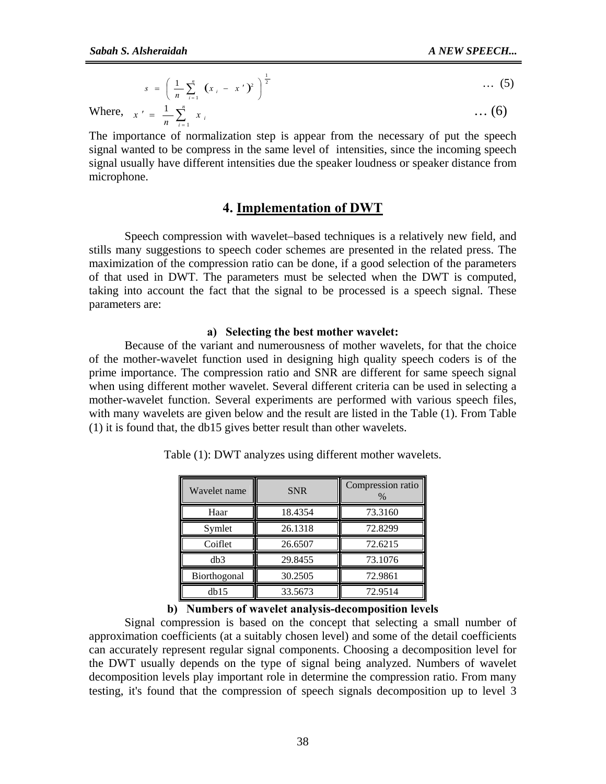$$
s = \left(\frac{1}{n}\sum_{i=1}^{n} (x_i - x')^2\right)^{\frac{1}{2}} \qquad \qquad \dots \text{ (5)}
$$

Where,  $x' = \frac{1}{n} \sum_{i=1}^{n}$  $x' = \frac{1}{n} \sum_{i=1}^{n} x_i$  ... (6)

The importance of normalization step is appear from the necessary of put the speech signal wanted to be compress in the same level of intensities, since the incoming speech signal usually have different intensities due the speaker loudness or speaker distance from microphone.

## **4. Implementation of DWT**

 Speech compression with wavelet–based techniques is a relatively new field, and stills many suggestions to speech coder schemes are presented in the related press. The maximization of the compression ratio can be done, if a good selection of the parameters of that used in DWT. The parameters must be selected when the DWT is computed, taking into account the fact that the signal to be processed is a speech signal. These parameters are:

### **a) Selecting the best mother wavelet:**

Because of the variant and numerousness of mother wavelets, for that the choice of the mother-wavelet function used in designing high quality speech coders is of the prime importance. The compression ratio and SNR are different for same speech signal when using different mother wavelet. Several different criteria can be used in selecting a mother-wavelet function. Several experiments are performed with various speech files, with many wavelets are given below and the result are listed in the Table (1). From Table (1) it is found that, the db15 gives better result than other wavelets.

| Wavelet name | <b>SNR</b> | Compression ratio<br>% |
|--------------|------------|------------------------|
| Haar         | 18.4354    | 73.3160                |
| Symlet       | 26.1318    | 72.8299                |
| Coiflet      | 26.6507    | 72.6215                |
| db3          | 29.8455    | 73.1076                |
| Biorthogonal | 30.2505    | 72.9861                |
| db15         | 33.5673    | 72.9514                |

Table (1): DWT analyzes using different mother wavelets.

# **b) Numbers of wavelet analysis-decomposition levels**

Signal compression is based on the concept that selecting a small number of approximation coefficients (at a suitably chosen level) and some of the detail coefficients can accurately represent regular signal components. Choosing a decomposition level for the DWT usually depends on the type of signal being analyzed. Numbers of wavelet decomposition levels play important role in determine the compression ratio. From many testing, it's found that the compression of speech signals decomposition up to level 3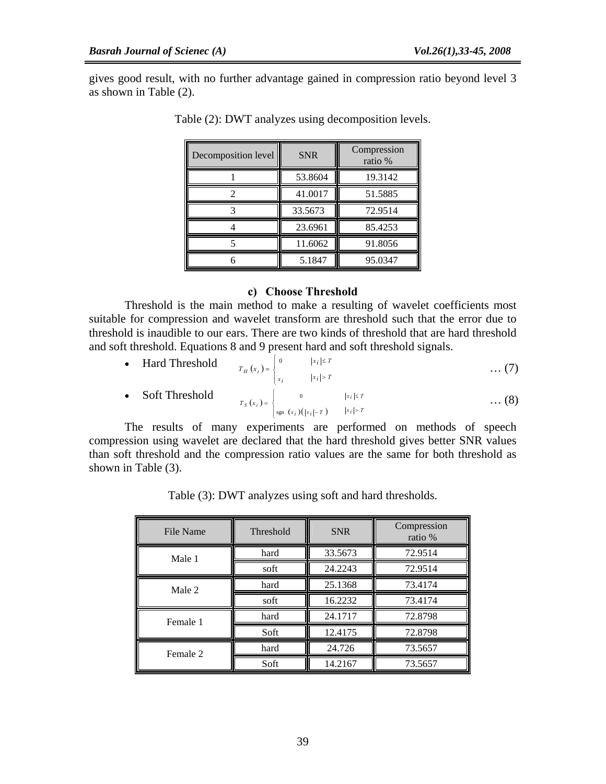gives good result, with no further advantage gained in compression ratio beyond level 3 as shown in Table (2).

| Decomposition level | <b>SNR</b> | Compression<br>ratio % |  |
|---------------------|------------|------------------------|--|
|                     | 53.8604    | 19.3142                |  |
|                     | 41.0017    | 51.5885                |  |
|                     | 33.5673    | 72.9514                |  |
|                     | 23.6961    | 85.4253                |  |
|                     | 11.6062    | 91.8056                |  |
|                     | 5.1847     | 95.0347                |  |

Table (2): DWT analyzes using decomposition levels.

### **c) Choose Threshold**

Threshold is the main method to make a resulting of wavelet coefficients most suitable for compression and wavelet transform are threshold such that the error due to threshold is inaudible to our ears. There are two kinds of threshold that are hard threshold and soft threshold. Equations 8 and 9 present hard and soft threshold signals.

| • Hard Threshold $T_H(x_i) = \begin{cases} 0 &  x_i  \leq T \\ x_i &  x_i  > T \end{cases}$ |                                                                                                   |  | $\dots (7)$ |
|---------------------------------------------------------------------------------------------|---------------------------------------------------------------------------------------------------|--|-------------|
| • Soft Threshold                                                                            | $T_S(x_i) = \begin{cases} 0 &  x_i  \leq T \\ \text{sgn}(x_i)( x_i  - T) &  x_i  > T \end{cases}$ |  | $\dots (8)$ |

The results of many experiments are performed on methods of speech compression using wavelet are declared that the hard threshold gives better SNR values than soft threshold and the compression ratio values are the same for both threshold as shown in Table (3).

Table (3): DWT analyzes using soft and hard thresholds.

| File Name | Threshold | <b>SNR</b> | Compression<br>ratio % |
|-----------|-----------|------------|------------------------|
| Male 1    | hard      | 33.5673    | 72.9514                |
|           | soft      | 24.2243    | 72.9514                |
| Male 2    | hard      | 25.1368    | 73.4174                |
|           | soft      | 16.2232    | 73.4174                |
| Female 1  | hard      | 24.1717    | 72.8798                |
|           | Soft      | 12.4175    | 72.8798                |
| Female 2  | hard      | 24.726     | 73.5657                |
|           | Soft      | 14.2167    | 73.5657                |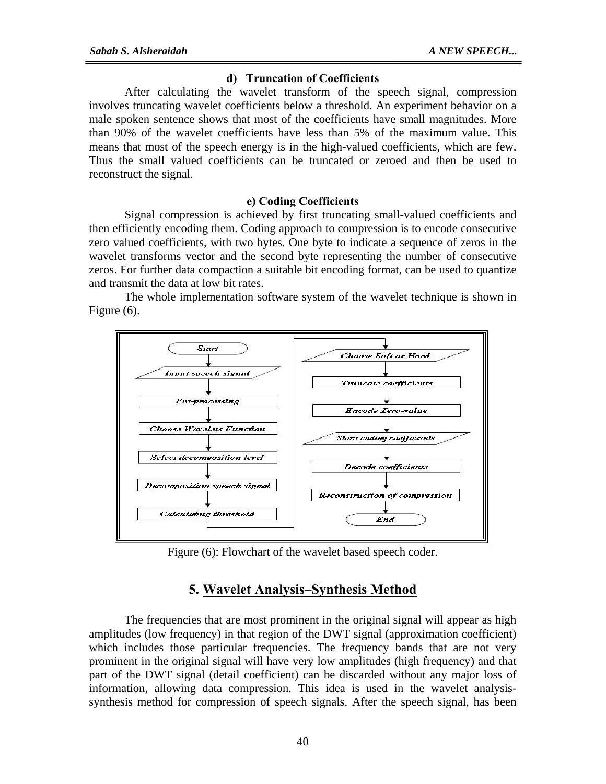### **d) Truncation of Coefficients**

After calculating the wavelet transform of the speech signal, compression involves truncating wavelet coefficients below a threshold. An experiment behavior on a male spoken sentence shows that most of the coefficients have small magnitudes. More than 90% of the wavelet coefficients have less than 5% of the maximum value. This means that most of the speech energy is in the high-valued coefficients, which are few. Thus the small valued coefficients can be truncated or zeroed and then be used to reconstruct the signal.

### **e) Coding Coefficients**

Signal compression is achieved by first truncating small-valued coefficients and then efficiently encoding them. Coding approach to compression is to encode consecutive zero valued coefficients, with two bytes. One byte to indicate a sequence of zeros in the wavelet transforms vector and the second byte representing the number of consecutive zeros. For further data compaction a suitable bit encoding format, can be used to quantize and transmit the data at low bit rates.

 The whole implementation software system of the wavelet technique is shown in Figure (6).



Figure (6): Flowchart of the wavelet based speech coder.

## **5. Wavelet Analysis–Synthesis Method**

The frequencies that are most prominent in the original signal will appear as high amplitudes (low frequency) in that region of the DWT signal (approximation coefficient) which includes those particular frequencies. The frequency bands that are not very prominent in the original signal will have very low amplitudes (high frequency) and that part of the DWT signal (detail coefficient) can be discarded without any major loss of information, allowing data compression. This idea is used in the wavelet analysissynthesis method for compression of speech signals. After the speech signal, has been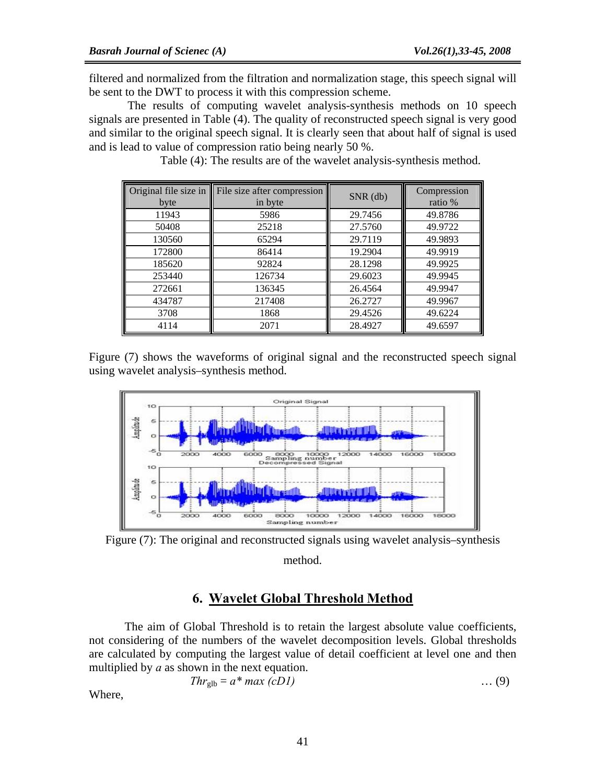filtered and normalized from the filtration and normalization stage, this speech signal will be sent to the DWT to process it with this compression scheme.

 The results of computing wavelet analysis-synthesis methods on 10 speech signals are presented in Table (4). The quality of reconstructed speech signal is very good and similar to the original speech signal. It is clearly seen that about half of signal is used and is lead to value of compression ratio being nearly 50 %.

|        | Original file size in File size after compression | SNR (db) | Compression |
|--------|---------------------------------------------------|----------|-------------|
| byte   | in byte                                           |          | ratio %     |
| 11943  | 5986                                              | 29.7456  | 49.8786     |
| 50408  | 25218                                             | 27.5760  | 49.9722     |
| 130560 | 65294                                             | 29.7119  | 49.9893     |
| 172800 | 86414                                             | 19.2904  | 49.9919     |
| 185620 | 92824                                             | 28.1298  | 49.9925     |
| 253440 | 126734                                            | 29.6023  | 49.9945     |
| 272661 | 136345                                            | 26.4564  | 49.9947     |
| 434787 | 217408                                            | 26.2727  | 49.9967     |
| 3708   | 1868                                              | 29.4526  | 49.6224     |
| 4114   | 2071                                              | 28.4927  | 49.6597     |

Table (4): The results are of the wavelet analysis-synthesis method.

Figure (7) shows the waveforms of original signal and the reconstructed speech signal using wavelet analysis–synthesis method.



Figure (7): The original and reconstructed signals using wavelet analysis–synthesis method.

## **6. Wavelet Global Threshold Method**

 The aim of Global Threshold is to retain the largest absolute value coefficients, not considering of the numbers of the wavelet decomposition levels. Global thresholds are calculated by computing the largest value of detail coefficient at level one and then multiplied by *a* as shown in the next equation.

$$
Thr_{glb} = a^* max (cDI) \qquad \qquad \dots (9)
$$

Where,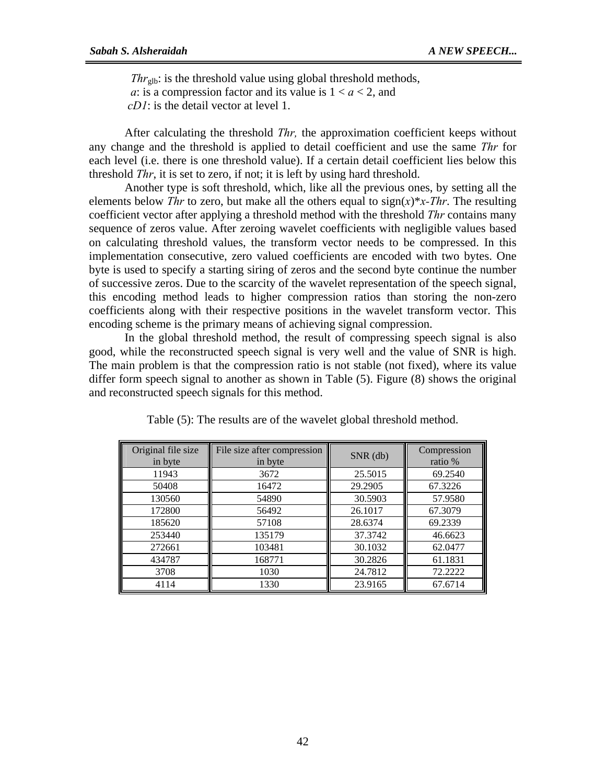$Thr_{\text{glb}}$ : is the threshold value using global threshold methods, *a*: is a compression factor and its value is  $1 < a < 2$ , and  *cD1*: is the detail vector at level 1.

After calculating the threshold *Thr,* the approximation coefficient keeps without any change and the threshold is applied to detail coefficient and use the same *Thr* for each level (i.e. there is one threshold value). If a certain detail coefficient lies below this threshold *Thr*, it is set to zero, if not; it is left by using hard threshold.

Another type is soft threshold, which, like all the previous ones, by setting all the elements below *Thr* to zero, but make all the others equal to  $sign(x)*x$ -*Thr*. The resulting coefficient vector after applying a threshold method with the threshold *Thr* contains many sequence of zeros value. After zeroing wavelet coefficients with negligible values based on calculating threshold values, the transform vector needs to be compressed. In this implementation consecutive, zero valued coefficients are encoded with two bytes. One byte is used to specify a starting siring of zeros and the second byte continue the number of successive zeros. Due to the scarcity of the wavelet representation of the speech signal, this encoding method leads to higher compression ratios than storing the non-zero coefficients along with their respective positions in the wavelet transform vector. This encoding scheme is the primary means of achieving signal compression.

In the global threshold method, the result of compressing speech signal is also good, while the reconstructed speech signal is very well and the value of SNR is high. The main problem is that the compression ratio is not stable (not fixed), where its value differ form speech signal to another as shown in Table (5). Figure (8) shows the original and reconstructed speech signals for this method.

| Original file size<br>in byte | File size after compression<br>in byte | $SNR$ (db) | Compression<br>ratio % |
|-------------------------------|----------------------------------------|------------|------------------------|
| 11943                         | 3672                                   | 25.5015    | 69.2540                |
| 50408                         | 16472                                  | 29.2905    | 67.3226                |
| 130560                        | 54890                                  | 30.5903    | 57.9580                |
| 172800                        | 56492                                  | 26.1017    | 67.3079                |
| 185620                        | 57108                                  | 28.6374    | 69.2339                |
| 253440                        | 135179                                 | 37.3742    | 46.6623                |
| 272661                        | 103481                                 | 30.1032    | 62.0477                |
| 434787                        | 168771                                 | 30.2826    | 61.1831                |
| 3708                          | 1030                                   | 24.7812    | 72.2222                |
| 4114                          | 1330                                   | 23.9165    | 67.6714                |

Table (5): The results are of the wavelet global threshold method.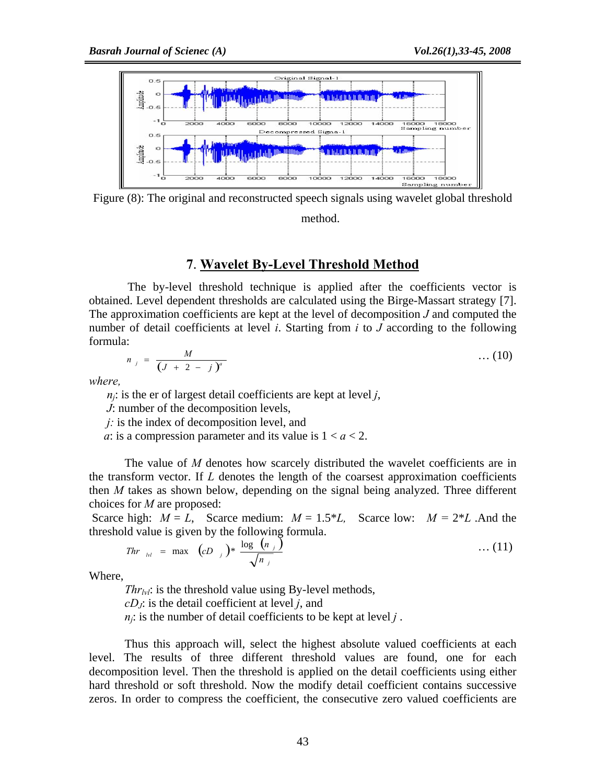

Figure (8): The original and reconstructed speech signals using wavelet global threshold

## method.

## **7**. **Wavelet By-Level Threshold Method**

 The by-level threshold technique is applied after the coefficients vector is obtained. Level dependent thresholds are calculated using the Birge-Massart strategy [7]. The approximation coefficients are kept at the level of decomposition *J* and computed the number of detail coefficients at level *i*. Starting from *i* to *J* according to the following formula:

$$
n_j = \frac{M}{(J + 2 - j)^a}
$$
 ... (10)

*where,* 

 $n_i$ : is the er of largest detail coefficients are kept at level *j*,

 *J*: number of the decomposition levels,

 *j:* is the index of decomposition level, and

*a*: is a compression parameter and its value is  $1 < a < 2$ .

The value of *M* denotes how scarcely distributed the wavelet coefficients are in the transform vector. If  $L$  denotes the length of the coarsest approximation coefficients then *M* takes as shown below, depending on the signal being analyzed. Three different choices for *M* are proposed:

Scarce high:  $M = L$ , Scarce medium:  $M = 1.5 * L$ , Scarce low:  $M = 2 * L$ . And the threshold value is given by the following formula.

*Thr* <sub>bl</sub> = max 
$$
(cD_j)^* \frac{\log (n_j)}{\sqrt{n_j}}
$$
 ... (11)

Where,

*Thr<sub>lvl</sub>*: is the threshold value using By-level methods, *cDJ*: is the detail coefficient at level *j*, and  $n_j$ : is the number of detail coefficients to be kept at level *j*.

Thus this approach will, select the highest absolute valued coefficients at each level. The results of three different threshold values are found, one for each decomposition level. Then the threshold is applied on the detail coefficients using either hard threshold or soft threshold. Now the modify detail coefficient contains successive zeros. In order to compress the coefficient, the consecutive zero valued coefficients are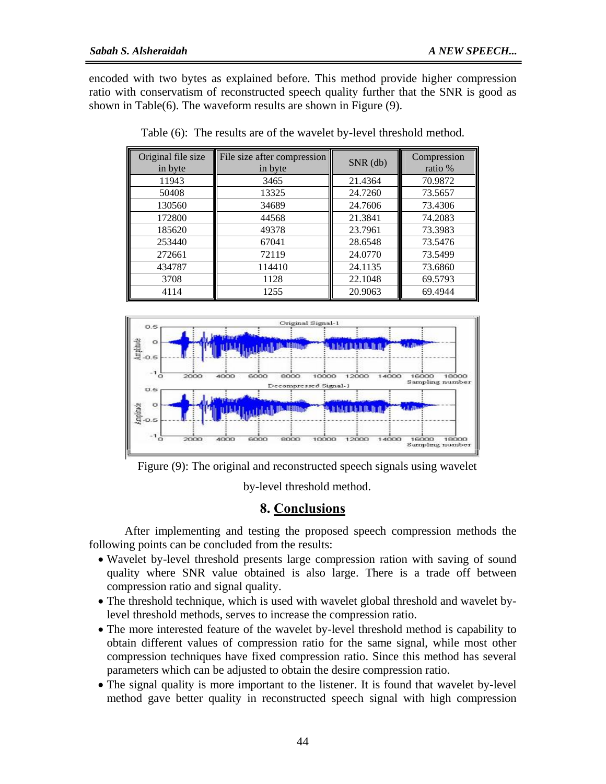encoded with two bytes as explained before. This method provide higher compression ratio with conservatism of reconstructed speech quality further that the SNR is good as shown in Table(6). The waveform results are shown in Figure (9).

| Original file size<br>in byte | File size after compression<br>in byte | SNR (db) | Compression<br>ratio % |
|-------------------------------|----------------------------------------|----------|------------------------|
| 11943                         | 3465                                   | 21.4364  | 70.9872                |
| 50408                         | 13325                                  | 24.7260  | 73.5657                |
| 130560                        | 34689                                  | 24.7606  | 73.4306                |
| 172800                        | 44568                                  | 21.3841  | 74.2083                |
| 185620                        | 49378                                  | 23.7961  | 73.3983                |
| 253440                        | 67041                                  | 28.6548  | 73.5476                |
| 272661                        | 72119                                  | 24.0770  | 73.5499                |
| 434787                        | 114410                                 | 24.1135  | 73.6860                |
| 3708                          | 1128                                   | 22.1048  | 69.5793                |
| 4114                          | 1255                                   | 20.9063  | 69.4944                |

Table (6): The results are of the wavelet by-level threshold method.



Figure (9): The original and reconstructed speech signals using wavelet

by-level threshold method.

## **8. Conclusions**

 After implementing and testing the proposed speech compression methods the following points can be concluded from the results:

- Wavelet by-level threshold presents large compression ration with saving of sound quality where SNR value obtained is also large. There is a trade off between compression ratio and signal quality.
- The threshold technique, which is used with wavelet global threshold and wavelet bylevel threshold methods, serves to increase the compression ratio.
- The more interested feature of the wavelet by-level threshold method is capability to obtain different values of compression ratio for the same signal, while most other compression techniques have fixed compression ratio. Since this method has several parameters which can be adjusted to obtain the desire compression ratio.
- The signal quality is more important to the listener. It is found that wavelet by-level method gave better quality in reconstructed speech signal with high compression